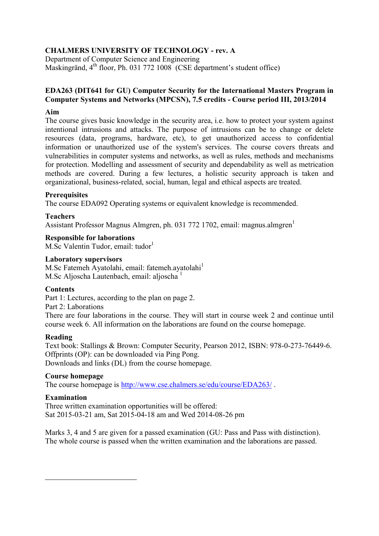# **CHALMERS UNIVERSITY OF TECHNOLOGY - rev. A**

Department of Computer Science and Engineering Maskingränd, 4<sup>th</sup> floor, Ph. 031 772 1008 (CSE department's student office)

### **EDA263 (DIT641 for GU) Computer Security for the International Masters Program in Computer Systems and Networks (MPCSN), 7.5 credits - Course period III, 2013/2014**

### **Aim**

The course gives basic knowledge in the security area, i.e. how to protect your system against intentional intrusions and attacks. The purpose of intrusions can be to change or delete resources (data, programs, hardware, etc), to get unauthorized access to confidential information or unauthorized use of the system's services. The course covers threats and vulnerabilities in computer systems and networks, as well as rules, methods and mechanisms for protection. Modelling and assessment of security and dependability as well as metrication methods are covered. During a few lectures, a holistic security approach is taken and organizational, business-related, social, human, legal and ethical aspects are treated.

#### **Prerequisites**

The course EDA092 Operating systems or equivalent knowledge is recommended.

## **Teachers**

Assistant Professor Magnus Almgren, ph. 031 772 1702, email: magnus.almgren<sup>1</sup>

## **Responsible for laborations**

M.Sc Valentin Tudor, email: tudor<sup>1</sup>

#### **Laboratory supervisors**

M.Sc Fatemeh Ayatolahi, email: fatemeh.ayatolahi<sup>1</sup> M.Sc Aljoscha Lautenbach, email: aljoscha $<sup>1</sup>$ </sup>

#### **Contents**

Part 1: Lectures, according to the plan on page 2.

Part 2: Laborations

There are four laborations in the course. They will start in course week 2 and continue until course week 6. All information on the laborations are found on the course homepage.

#### **Reading**

Text book: Stallings & Brown: Computer Security, Pearson 2012, ISBN: 978-0-273-76449-6. Offprints (OP): can be downloaded via Ping Pong. Downloads and links (DL) from the course homepage.

#### **Course homepage**

The course homepage is<http://www.cse.chalmers.se/edu/course/EDA263/> .

## **Examination**

 $\overline{a}$ 

Three written examination opportunities will be offered: Sat 2015-03-21 am, Sat 2015-04-18 am and Wed 2014-08-26 pm

Marks 3, 4 and 5 are given for a passed examination (GU: Pass and Pass with distinction). The whole course is passed when the written examination and the laborations are passed.